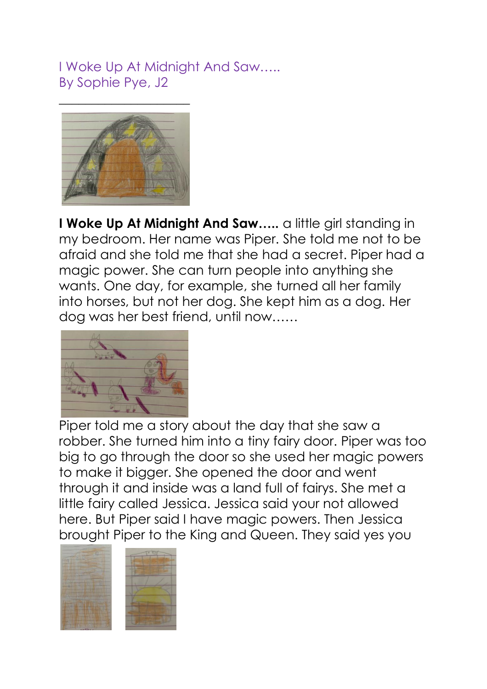I Woke Up At Midnight And Saw….. By Sophie Pye, J2



**I Woke Up At Midnight And Saw…..** a little girl standing in my bedroom. Her name was Piper. She told me not to be afraid and she told me that she had a secret. Piper had a magic power. She can turn people into anything she wants. One day, for example, she turned all her family into horses, but not her dog. She kept him as a dog. Her dog was her best friend, until now……



Piper told me a story about the day that she saw a robber. She turned him into a tiny fairy door. Piper was too big to go through the door so she used her magic powers to make it bigger. She opened the door and went through it and inside was a land full of fairys. She met a little fairy called Jessica. Jessica said your not allowed here. But Piper said I have magic powers. Then Jessica brought Piper to the King and Queen. They said yes you

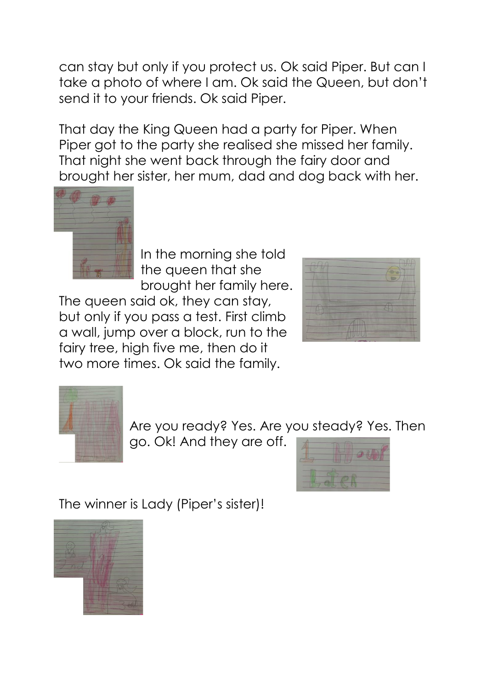can stay but only if you protect us. Ok said Piper. But can I take a photo of where I am. Ok said the Queen, but don't send it to your friends. Ok said Piper.

That day the King Queen had a party for Piper. When Piper got to the party she realised she missed her family. That night she went back through the fairy door and brought her sister, her mum, dad and dog back with her.



In the morning she told the queen that she brought her family here.

The queen said ok, they can stay, but only if you pass a test. First climb a wall, jump over a block, run to the fairy tree, high five me, then do it two more times. Ok said the family.





Are you ready? Yes. Are you steady? Yes. Then

go. Ok! And they are off.



The winner is Lady (Piper's sister)!